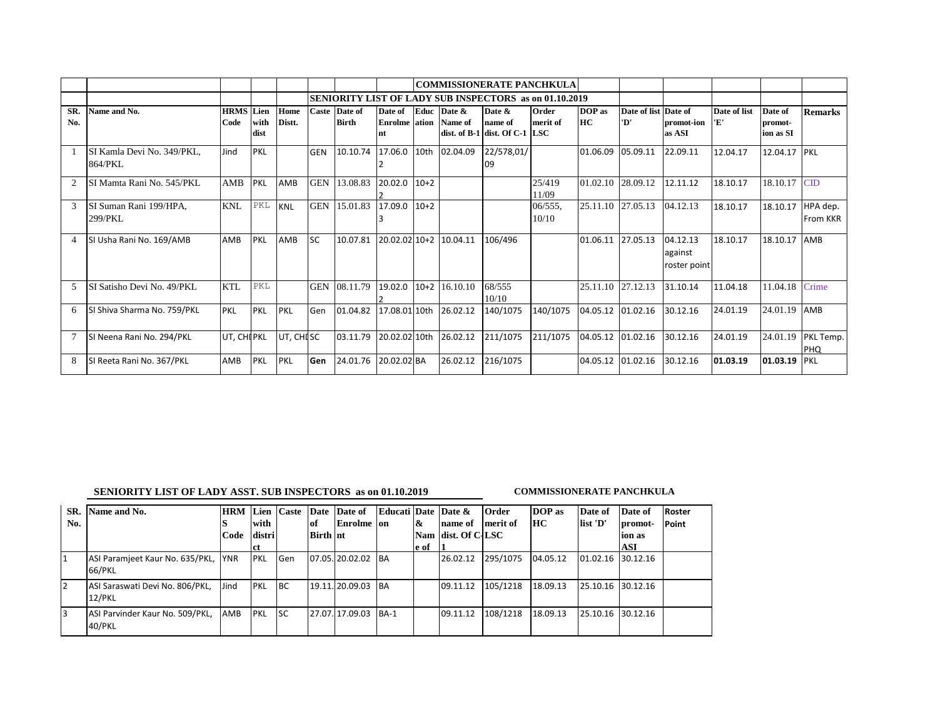|                               |                                       |                     |                      |                |            |                               |                                               |        |                        | <b>COMMISSIONERATE PANCHKULA</b>                              |                     |                   |                     |                                     |              |                                 |                             |
|-------------------------------|---------------------------------------|---------------------|----------------------|----------------|------------|-------------------------------|-----------------------------------------------|--------|------------------------|---------------------------------------------------------------|---------------------|-------------------|---------------------|-------------------------------------|--------------|---------------------------------|-----------------------------|
|                               |                                       |                     |                      |                |            |                               |                                               |        |                        | <b>SENIORITY LIST OF LADY SUB INSPECTORS as on 01.10.2019</b> |                     |                   |                     |                                     |              |                                 |                             |
| SR.<br>No.                    | Name and No.                          | <b>HRMS</b><br>Code | Lien<br>with<br>dist | Home<br>Distt. |            | Caste Date of<br><b>Birth</b> | Date of<br><b>Enrolme</b> ation Name of<br>nt | Educ   | Date &                 | Date &<br>name of<br>dist. of B-1 dist. Of C-1 LSC            | Order<br>merit of   | DOP as<br>HC      | Date of list<br>'D' | Date of<br>promot-ion 'E'<br>as ASI | Date of list | Date of<br>promot-<br>ion as SI | <b>Remarks</b>              |
|                               | SI Kamla Devi No. 349/PKL,<br>864/PKL | Jind                | PKL                  |                | <b>GEN</b> | 10.10.74                      | 17.06.0                                       |        | 10th 02.04.09          | 22/578,01/<br>09                                              |                     | 01.06.09          | 05.09.11            | 22.09.11                            | 12.04.17     | 12.04.17                        | PKL                         |
| $\mathfrak{D}_{\mathfrak{p}}$ | SI Mamta Rani No. 545/PKL             | AMB                 | PKL                  | AMB            | <b>GEN</b> | 13.08.83                      | 20.02.0                                       | $10+2$ |                        |                                                               | 25/419<br>11/09     | 01.02.10          | 28.09.12            | 12.11.12                            | 18.10.17     | 18.10.17                        | $\overline{\text{CD}}$      |
| 3                             | SI Suman Rani 199/HPA,<br>299/PKL     | <b>KNL</b>          | PKL                  | <b>KNL</b>     | <b>GEN</b> | 15.01.83                      | 17.09.0                                       | $10+2$ |                        |                                                               | $06/555$ ,<br>10/10 | 25.11.10 27.05.13 |                     | 04.12.13                            | 18.10.17     | 18.10.17                        | HPA dep.<br><b>From KKR</b> |
| 4                             | SI Usha Rani No. 169/AMB              | AMB                 | <b>PKL</b>           | AMB            | <b>SC</b>  | 10.07.81                      |                                               |        | 20.02.02 10+2 10.04.11 | 106/496                                                       |                     | 01.06.11          | 27.05.13            | 04.12.13<br>against<br>roster point | 18.10.17     | 18.10.17                        | AMB                         |
| $\overline{\phantom{1}}$      | SI Satisho Devi No. 49/PKL            | <b>KTL</b>          | PKL                  |                | <b>GEN</b> | 08.11.79                      | 19.02.0                                       | $10+2$ | 16.10.10               | 68/555<br>10/10                                               |                     |                   | 25.11.10 27.12.13   | 31.10.14                            | 11.04.18     | 11.04.18                        | Crime                       |
| 6                             | SI Shiva Sharma No. 759/PKL           | <b>PKL</b>          | <b>PKL</b>           | <b>PKL</b>     | Gen        | 01.04.82                      |                                               |        | 17.08.01 10th 26.02.12 | 140/1075                                                      | 140/1075            | 04.05.12          | 01.02.16            | 30.12.16                            | 24.01.19     | 24.01.19                        | AMB                         |
|                               | SI Neena Rani No. 294/PKL             | UT, CHI PKL         |                      | UT, CHISC      |            | 03.11.79                      |                                               |        | 20.02.02 10th 26.02.12 | 211/1075                                                      | 211/1075            |                   | 04.05.12 01.02.16   | 30.12.16                            | 24.01.19     | 24.01.19                        | PKL Temp.<br><b>PHQ</b>     |
| 8                             | SI Reeta Rani No. 367/PKL             | AMB                 | PKL                  | <b>PKL</b>     | Gen        | 24.01.76                      | 20.02.02 BA                                   |        | 26.02.12               | 216/1075                                                      |                     | 04.05.12          | 01.02.16            | 30.12.16                            | 01.03.19     | 01.03.19                        | PKL                         |

## **SENIORITY LIST OF LADY ASST. SUB INSPECTORS as on 01.10.2019** COMMISSIONERATE PANCHKULA

| SR. | Name and No.                              | <b>HRM</b> |            | Lien Caste |                 | Date Date of    | Educati Date Date & |              |                    | Order    | DOP as   | Date of           | Date of | Roster |
|-----|-------------------------------------------|------------|------------|------------|-----------------|-----------------|---------------------|--------------|--------------------|----------|----------|-------------------|---------|--------|
| No. |                                           |            | with       |            | of              | Enrolme on      |                     | $\mathbf{k}$ | name of            | merit of | HC       | list 'D'          | promot- | Point  |
|     |                                           | Code       | distri     |            | <b>Birth</b> nt |                 |                     |              | Nam dist. Of C-LSC |          |          |                   | lion as |        |
|     |                                           |            | - ct       |            |                 |                 |                     | e of         |                    |          |          |                   | ASI     |        |
|     | ASI Paramjeet Kaur No. 635/PKL,<br>66/PKL | <b>YNR</b> | <b>PKL</b> | Gen        |                 | 07.05.120.02.02 | <b>BA</b>           |              | 26.02.12           | 295/1075 | 04.05.12 | 01.02.16 30.12.16 |         |        |
| 2   | ASI Saraswati Devi No. 806/PKL,<br>12/PKL | Jind       | PKL        | <b>BC</b>  |                 | 19.11. 20.09.03 | <b>BA</b>           |              | 09.11.12           | 105/1218 | 18.09.13 | 25.10.16 30.12.16 |         |        |
| 3   | ASI Parvinder Kaur No. 509/PKL,<br>40/PKL | AMB        | <b>PKL</b> | <b>SC</b>  |                 | 27.07.17.09.03  | $BA-1$              |              | 09.11.12           | 108/1218 | 18.09.13 | 25.10.16 30.12.16 |         |        |